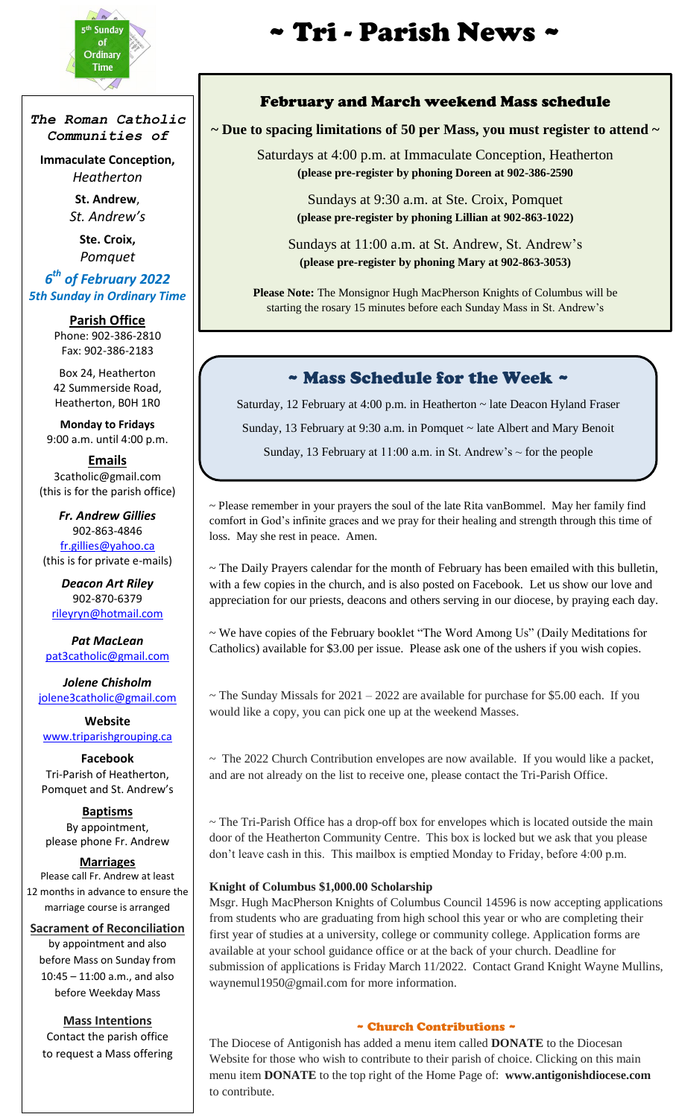

i<br>I

*The Roman Catholic Communities of*

**Immaculate Conception,** *Heatherton*

> **St. Andrew**, *St. Andrew's*

**Ste. Croix,** *Pomquet*

#### *6 th of February 2022 5th Sunday in Ordinary Time*

**Parish Office** Phone: 902-386-2810 Fax: 902-386-2183

Box 24, Heatherton 42 Summerside Road, Heatherton, B0H 1R0

**Monday to Fridays** 9:00 a.m. until 4:00 p.m.

**Emails** 3catholic@gmail.com (this is for the parish office)

*Fr. Andrew Gillies* 902-863-4846 [fr.gillies@yahoo.ca](mailto:fr.gillies@yahoo.ca) (this is for private e-mails)

*Deacon Art Riley* 902-870-6379 [rileyryn@hotmail.com](mailto:rileyryn@hotmail.com)

*Pat MacLean* [pat3catholic@gmail.com](mailto:rileyryn@hotmail.com)

*Jolene Chisholm* [jolene3catholic@gmail.com](mailto:jolene3catholic@gmail.com)

**Website** [www.triparishgrouping.ca](http://www.triparishgrouping.ca/)

**Facebook** Tri-Parish of Heatherton, Pomquet and St. Andrew's

**Baptisms** By appointment, please phone Fr. Andrew

#### **Marriages**

Please call Fr. Andrew at least 12 months in advance to ensure the marriage course is arranged

**Sacrament of Reconciliation** by appointment and also before Mass on Sunday from 10:45 – 11:00 a.m., and also before Weekday Mass

**Mass Intentions** Contact the parish office to request a Mass offering

# $\mathbf{r}^{\text{th Sunday}}$   $\mathbf{r}$   $\mathbf{r}$   $\mathbf{r}$   $\mathbf{r}$   $\mathbf{r}$   $\mathbf{r}$   $\mathbf{r}$   $\mathbf{r}$   $\mathbf{r}$   $\mathbf{r}$   $\mathbf{r}$   $\mathbf{r}$   $\mathbf{r}$   $\mathbf{r}$   $\mathbf{r}$   $\mathbf{r}$   $\mathbf{r}$   $\mathbf{r}$   $\mathbf{r}$   $\mathbf{r}$   $\mathbf{r}$   $\mathbf{r}$   $\mathbf{r}$

#### February and March weekend Mass schedule

## **~ Due to spacing limitations of 50 per Mass, you must register to attend ~**

Saturdays at 4:00 p.m. at Immaculate Conception, Heatherton **(please pre-register by phoning Doreen at 902-386-2590**

> Sundays at 9:30 a.m. at Ste. Croix, Pomquet **(please pre-register by phoning Lillian at 902-863-1022)**

Sundays at 11:00 a.m. at St. Andrew, St. Andrew's **(please pre-register by phoning Mary at 902-863-3053)**

**Please Note:** The Monsignor Hugh MacPherson Knights of Columbus will be starting the rosary 15 minutes before each Sunday Mass in St. Andrew's

### ~ Mass Schedule for the Week ~

Saturday, 12 February at 4:00 p.m. in Heatherton ~ late Deacon Hyland Fraser

Sunday, 13 February at 9:30 a.m. in Pomquet ~ late Albert and Mary Benoit

Sunday, 13 February at 11:00 a.m. in St. Andrew's  $\sim$  for the people

~ Please remember in your prayers the soul of the late Rita vanBommel. May her family find comfort in God's infinite graces and we pray for their healing and strength through this time of loss. May she rest in peace. Amen.

~ The Daily Prayers calendar for the month of February has been emailed with this bulletin, with a few copies in the church, and is also posted on Facebook. Let us show our love and appreciation for our priests, deacons and others serving in our diocese, by praying each day.

~ We have copies of the February booklet "The Word Among Us" (Daily Meditations for Catholics) available for \$3.00 per issue. Please ask one of the ushers if you wish copies.

 $\sim$  The Sunday Missals for 2021 – 2022 are available for purchase for \$5.00 each. If you would like a copy, you can pick one up at the weekend Masses.

 $\sim$  The 2022 Church Contribution envelopes are now available. If you would like a packet, and are not already on the list to receive one, please contact the Tri-Parish Office.

~ The Tri-Parish Office has a drop-off box for envelopes which is located outside the main door of the Heatherton Community Centre. This box is locked but we ask that you please don't leave cash in this. This mailbox is emptied Monday to Friday, before 4:00 p.m.

#### **Knight of Columbus \$1,000.00 Scholarship**

Msgr. Hugh MacPherson Knights of Columbus Council 14596 is now accepting applications from students who are graduating from high school this year or who are completing their first year of studies at a university, college or community college. Application forms are available at your school guidance office or at the back of your church. Deadline for submission of applications is Friday March 11/2022. Contact Grand Knight Wayne Mullins, waynemul1950@gmail.com for more information.

#### ~ Church Contributions ~

The Diocese of Antigonish has added a menu item called **DONATE** to the Diocesan Website for those who wish to contribute to their parish of choice. Clicking on this main menu item **DONATE** to the top right of the Home Page of: **www.antigonishdiocese.com**  to contribute.